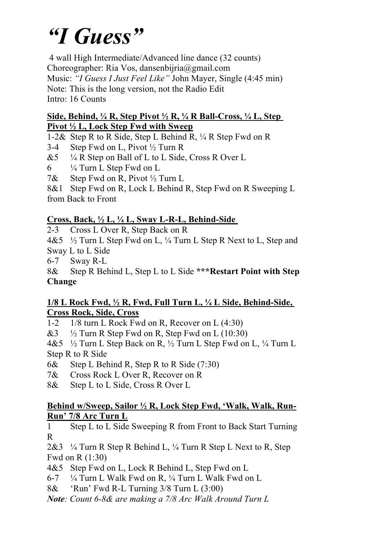# *"I Guess"*

4 wall High Intermediate/Advanced line dance (32 counts) Choreographer: Ria Vos, dansenbijria@gmail.com Music: *"I Guess I Just Feel Like"* John Mayer, Single (4:45 min) Note: This is the long version, not the Radio Edit Intro: 16 Counts

#### **Side, Behind, ¼ R, Step Pivot ½ R, ¼ R Ball-Cross, ¼ L, Step Pivot ½ L, Lock Step Fwd with Sweep**

1-2& Step R to R Side, Step L Behind R, ¼ R Step Fwd on R

3-4 Step Fwd on L, Pivot  $\frac{1}{2}$  Turn R

- $&5$   $\frac{1}{4}$  R Step on Ball of L to L Side, Cross R Over L
- $6 \frac{1}{4}$  Turn L Step Fwd on L

7& Step Fwd on R, Pivot ½ Turn L

8&1 Step Fwd on R, Lock L Behind R, Step Fwd on R Sweeping L from Back to Front

## **Cross, Back, ½ L, ¼ L, Sway L-R-L, Behind-Side**

2-3 Cross L Over R, Step Back on R

4&5 ½ Turn L Step Fwd on L, ¼ Turn L Step R Next to L, Step and Sway L to L Side

6-7 Sway R-L

8& Step R Behind L, Step L to L Side **\*\*\*Restart Point with Step Change**

#### **1/8 L Rock Fwd, ½ R, Fwd, Full Turn L, ¼ L Side, Behind-Side, Cross Rock, Side, Cross**

1-2 1/8 turn L Rock Fwd on R, Recover on L (4:30)

 $&3$   $\frac{1}{2}$  Turn R Step Fwd on R, Step Fwd on L (10:30)

4&5 ½ Turn L Step Back on R, ½ Turn L Step Fwd on L, ¼ Turn L Step R to R Side

6& Step L Behind R, Step R to R Side (7:30)

7& Cross Rock L Over R, Recover on R

8& Step L to L Side, Cross R Over L

### **Behind w/Sweep, Sailor ½ R, Lock Step Fwd, 'Walk, Walk, Run-Run' 7/8 Arc Turn L**

1 Step L to L Side Sweeping R from Front to Back Start Turning R

 $2&3$   $\frac{1}{4}$  Turn R Step R Behind L,  $\frac{1}{4}$  Turn R Step L Next to R, Step Fwd on R (1:30)

4&5 Step Fwd on L, Lock R Behind L, Step Fwd on L

- 6-7 ¼ Turn L Walk Fwd on R, ¼ Turn L Walk Fwd on L
- 8& 'Run' Fwd R-L Turning 3/8 Turn L (3:00)

*Note: Count 6-8& are making a 7/8 Arc Walk Around Turn L*